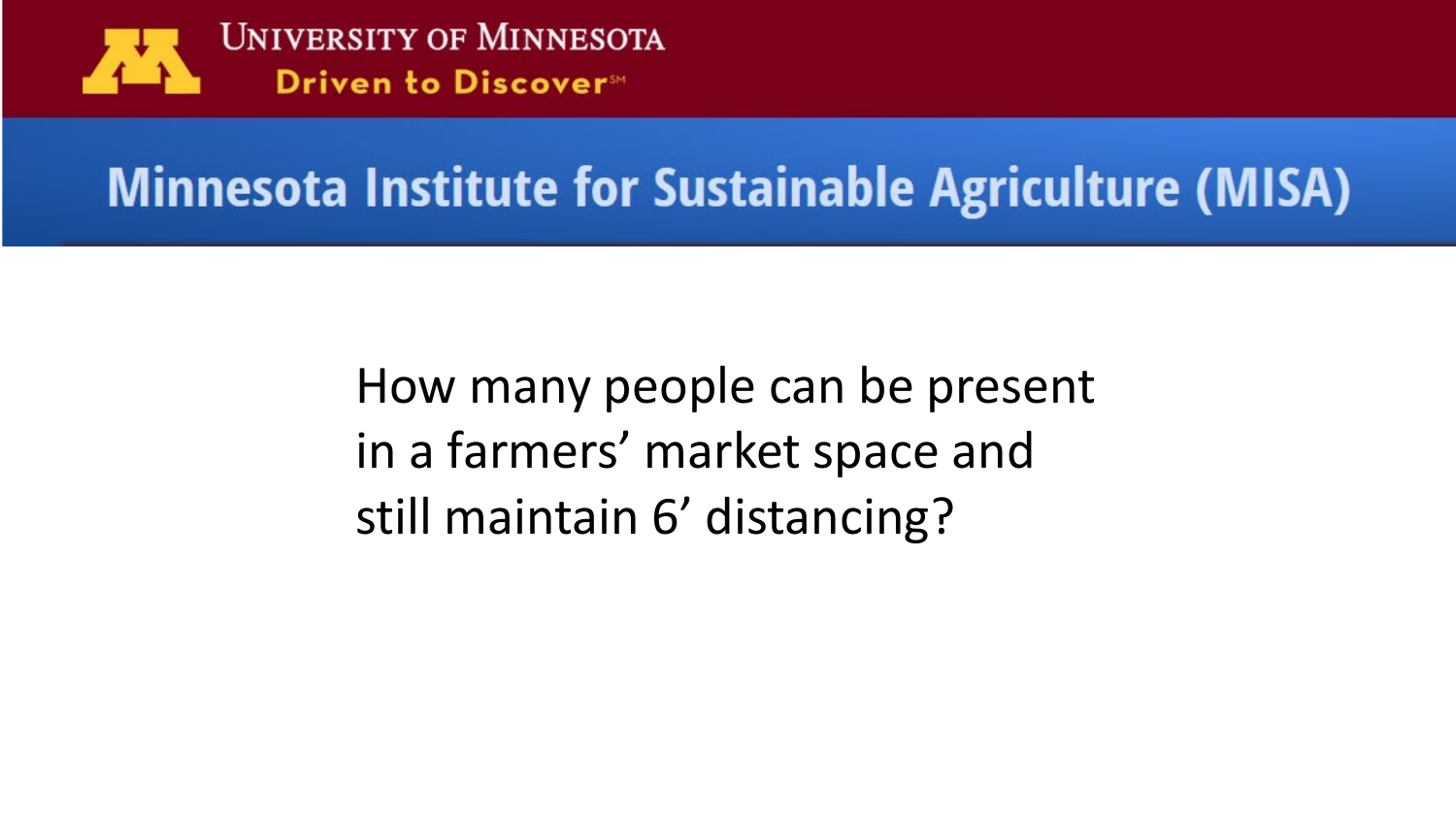

## **Minnesota Institute for Sustainable Agriculture (MISA)**

How many people can be present in a farmers' market space and still maintain 6' distancing?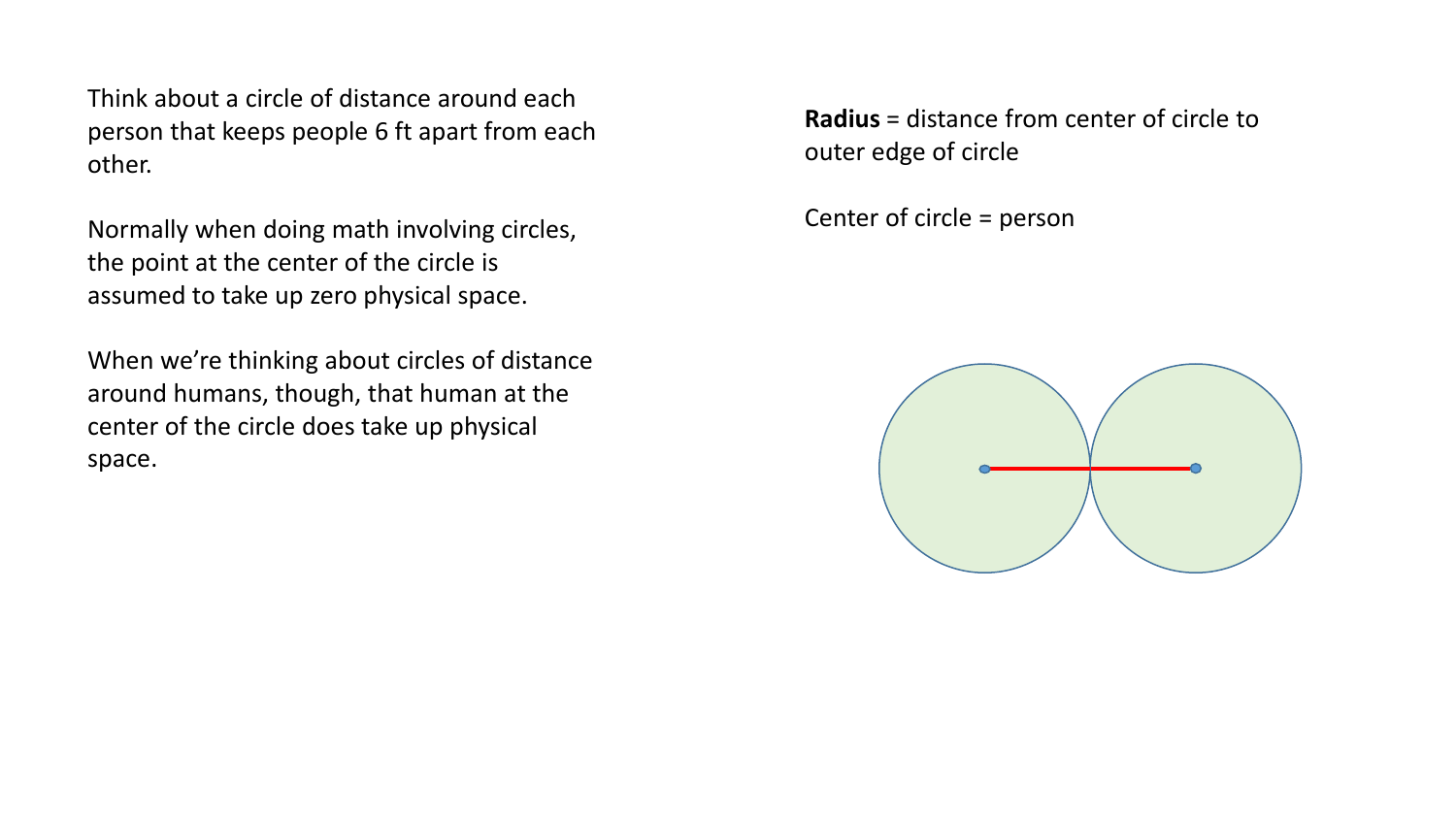Think about a circle of distance around each person that keeps people 6 ft apart from each other.

Normally when doing math involving circles, the point at the center of the circle is assumed to take up zero physical space.

When we're thinking about circles of distance around humans, though, that human at the center of the circle does take up physical space.

**Radius** = distance from center of circle to outer edge of circle

Center of circle = person

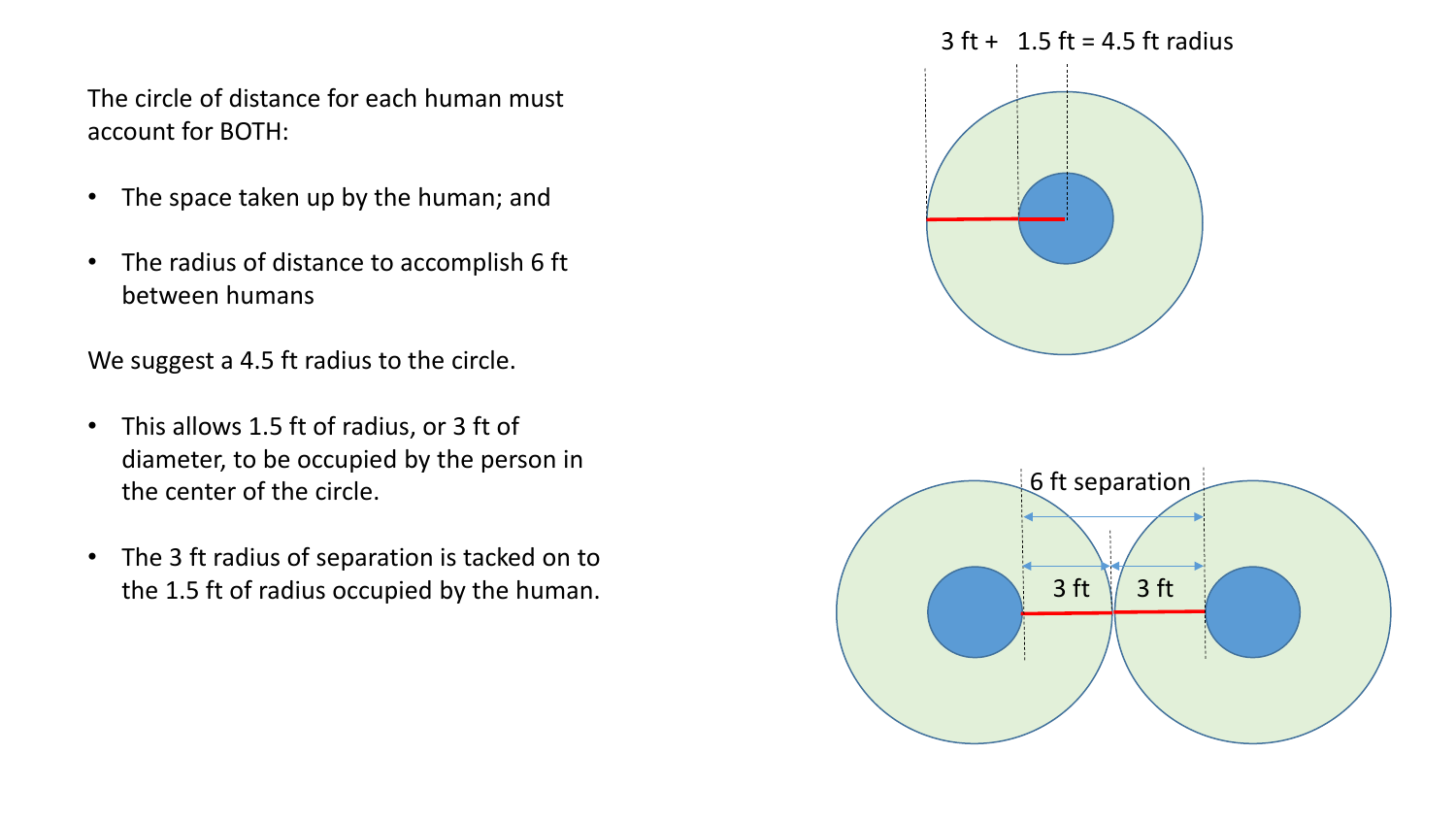The circle of distance for each human must account for BOTH:

- The space taken up by the human; and
- The radius of distance to accomplish 6 ft between humans

We suggest a 4.5 ft radius to the circle.

- This allows 1.5 ft of radius, or 3 ft of diameter, to be occupied by the person in the center of the circle.
- The 3 ft radius of separation is tacked on to the 1.5 ft of radius occupied by the human.

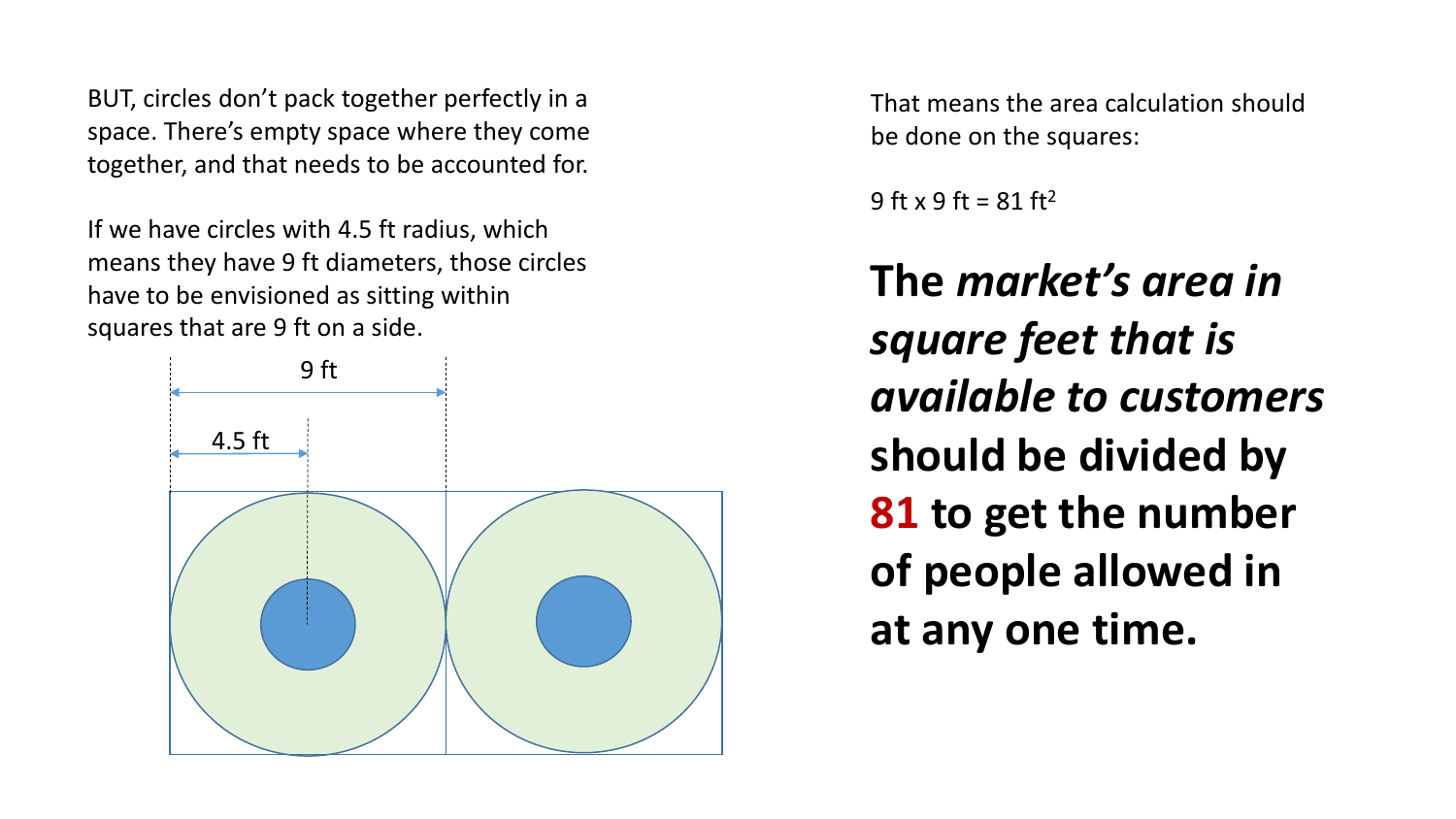BUT, circles don't pack together perfectly in a space. There's empty space where they come together, and that needs to be accounted for.

If we have circles with 4.5 ft radius, which means they have 9 ft diameters, those circles have to be envisioned as sitting within squares that are 9 ft on a side.



That means the area calculation should be done on the squares:

 $9$  ft x  $9$  ft =  $81$  ft<sup>2</sup>

**The** *market's area in square feet that is available to customers*  **should be divided by 81 to get the number of people allowed in at any one time.**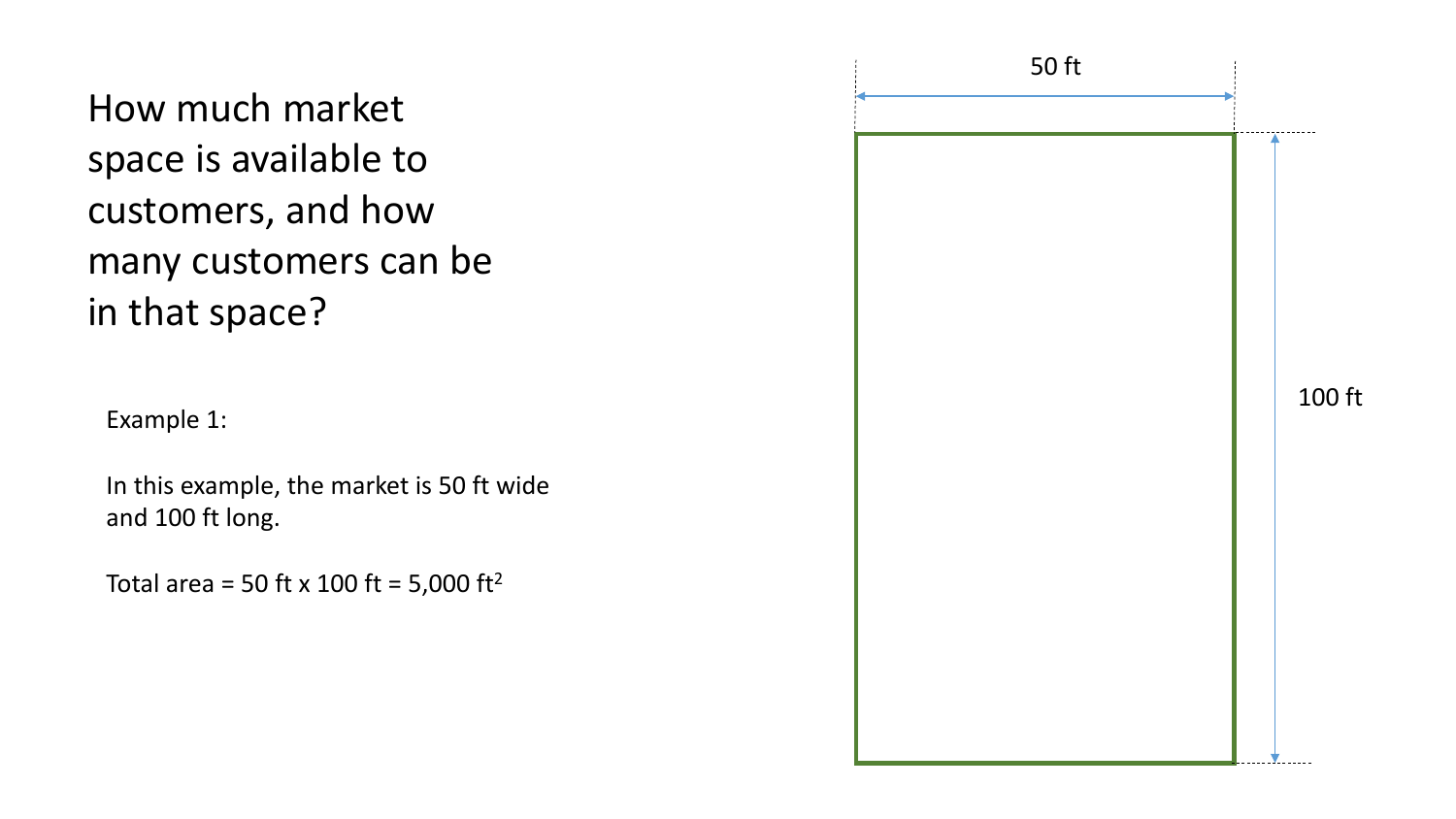How much market space is available to customers, and how many customers can be in that space? 50 ft 100 ft Example 1: In this example, the market is 50 ft wide and 100 ft long. Total area = 50 ft x 100 ft = 5,000 ft<sup>2</sup>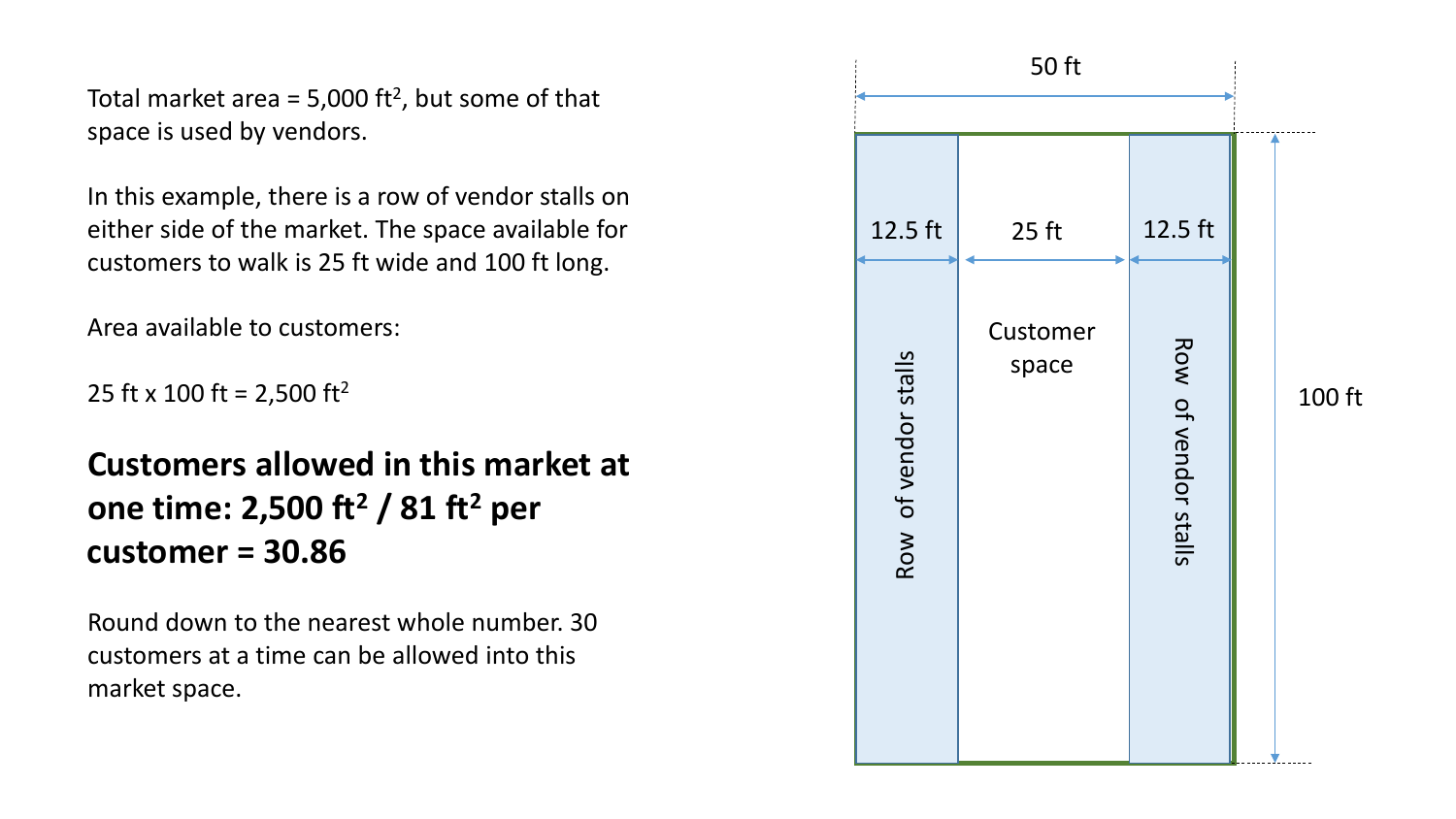Total market area =  $5,000$  ft<sup>2</sup>, but some of that space is used by vendors.

In this example, there is a row of vendor stalls on either side of the market. The space available for customers to walk is 25 ft wide and 100 ft long.

Area available to customers:

25 ft x 100 ft = 2,500 ft<sup>2</sup>

**Customers allowed in this market at one time: 2,500 ft <sup>2</sup> / 81 ft <sup>2</sup> per customer = 30.86**

Round down to the nearest whole number. 30 customers at a time can be allowed into this market space.

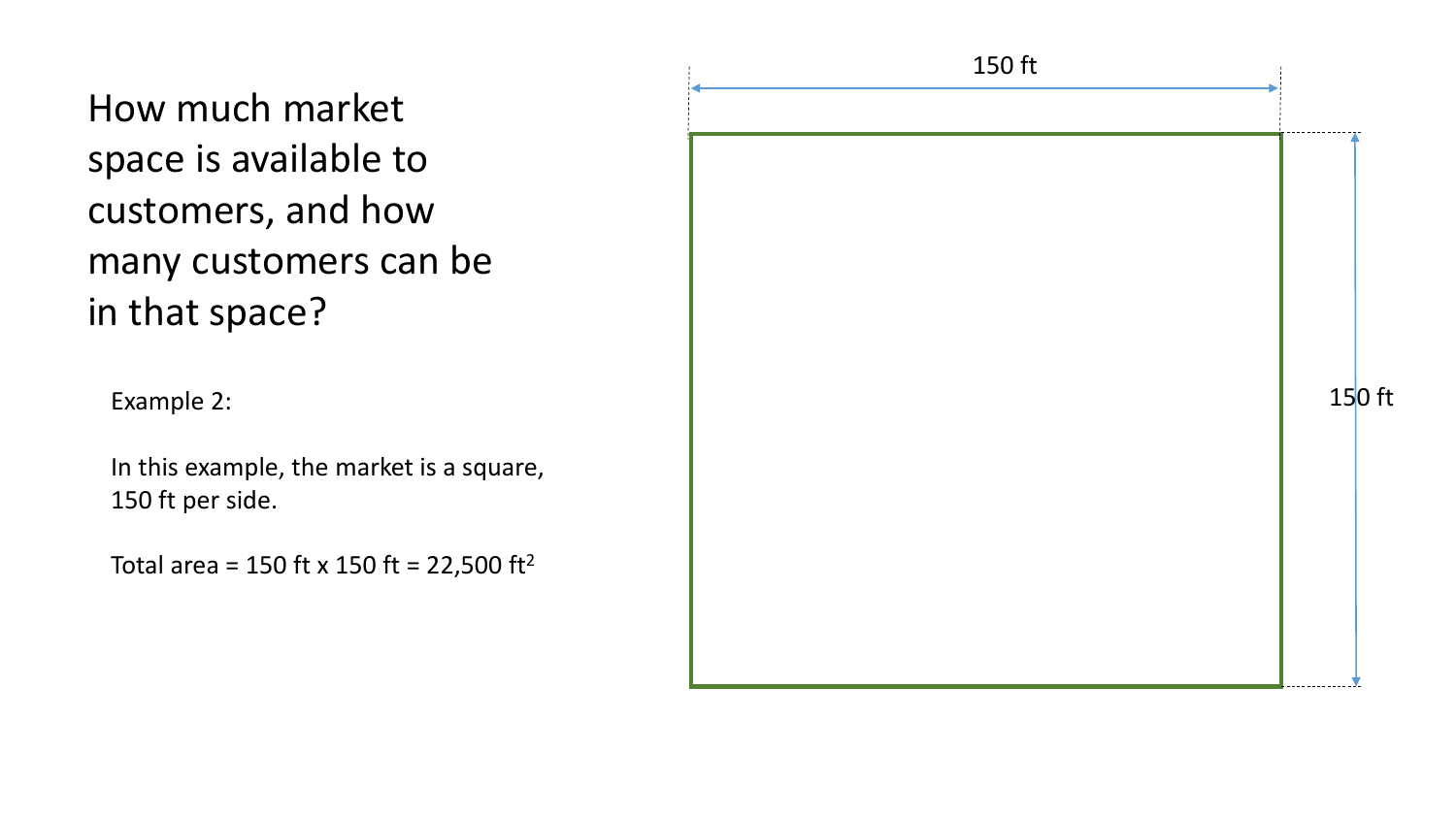How much market space is available to customers, and how many customers can be in that space?

In this example, the market is a square, 150 ft per side.

Total area = 150 ft x 150 ft = 22,500 ft<sup>2</sup>

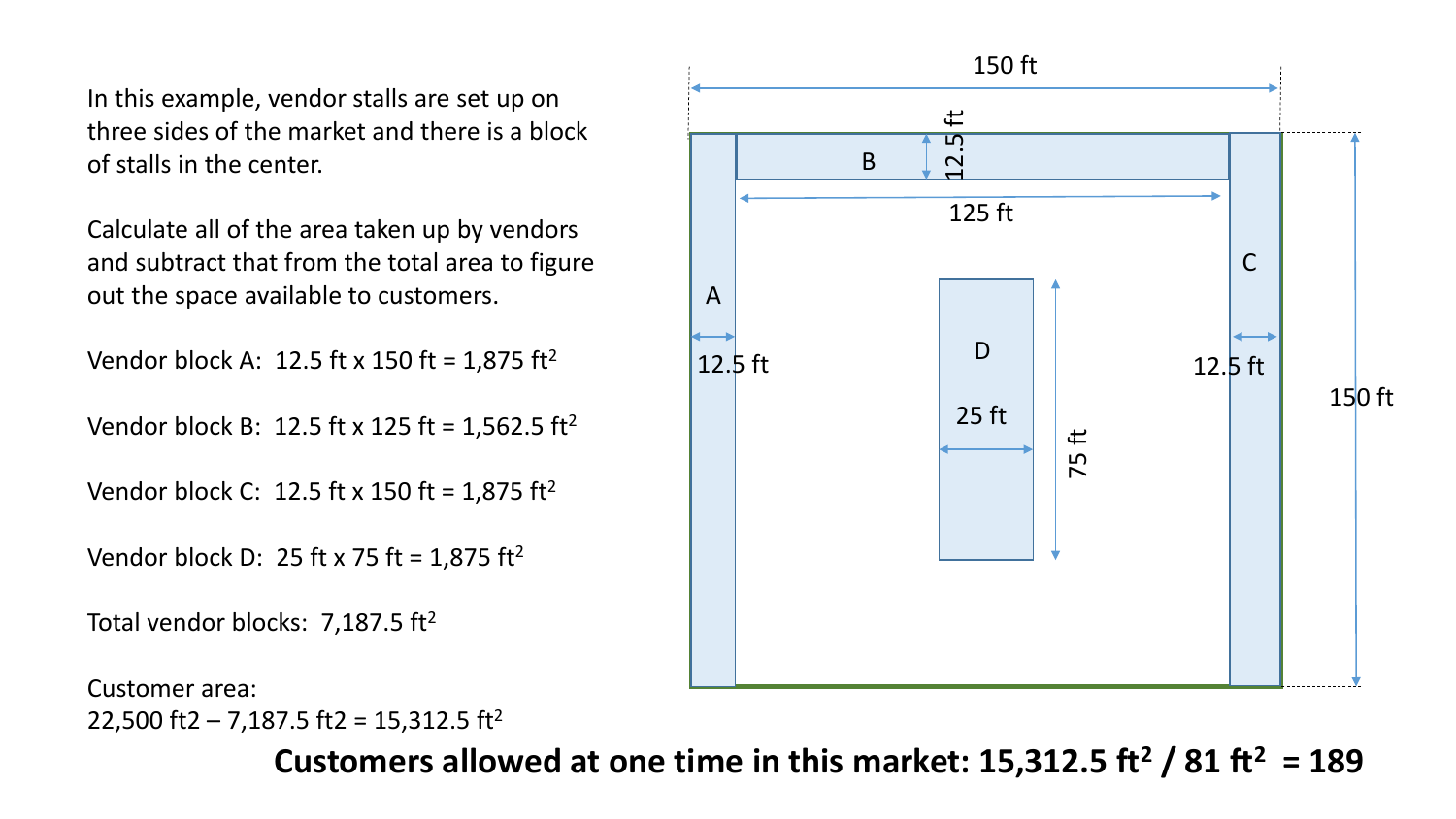In this example, vendor stalls are set up on three sides of the market and there is a block of stalls in the center.

Calculate all of the area taken up by vendors and subtract that from the total area to figure out the space available to customers.

```
Vendor block A: 12.5 ft x 150 ft = 1,875 ft<sup>2</sup>
```
Vendor block B: 12.5 ft x 125 ft = 1,562.5 ft<sup>2</sup>

Vendor block C: 12.5 ft x 150 ft = 1,875 ft<sup>2</sup>

```
Vendor block D: 25 ft x 75 ft = 1,875 ft<sup>2</sup>
```
Total vendor blocks: 7,187.5  $ft^2$ 

```
Customer area:
22,500 ft2 – 7,187.5 ft2 = 15,312.5 ft<sup>2</sup>
```


Customers allowed at one time in this market:  $15,312.5$  ft<sup>2</sup> /  $81$  ft<sup>2</sup> = 189